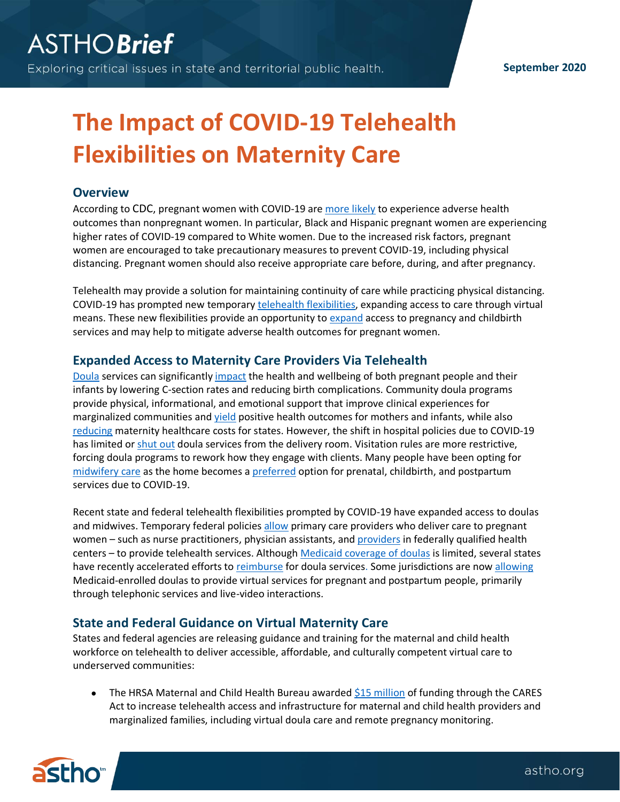#### **September 2020**

# **The Impact of COVID-19 Telehealth Flexibilities on Maternity Care**

## **Overview**

According to CDC, pregnant women with COVID-19 are [more likely](https://www.cdc.gov/coronavirus/2019-ncov/cases-updates/special-populations/pregnancy-data-on-covid-19.html) to experience adverse health outcomes than nonpregnant women. In particular, Black and Hispanic pregnant women are experiencing higher rates of COVID-19 compared to White women. Due to the increased risk factors, pregnant women are encouraged to take precautionary measures to prevent COVID-19, including physical distancing. Pregnant women should also receive appropriate care before, during, and after pregnancy.

Telehealth may provide a solution for maintaining continuity of care while practicing physical distancing. COVID-19 has prompted new temporary telehealth [flexibilities,](https://www.astho.org/StatePublicHealth/States-Leverage-Telehealth-to-Respond-to-COVID-19/04-08-20/) expanding access to care through virtual means. These new flexibilities provide an opportunity to [expand](https://www.astho.org/StatePublicHealth/COVID-19-Impact-on-Pregnancy-and-Childbirth-Policies/04-22-20/) access to pregnancy and childbirth services and may help to mitigate adverse health outcomes for pregnant women.

#### **Expanded Access to Maternity Care Providers Via Telehealth**

[Doula](https://www.ncbi.nlm.nih.gov/pmc/articles/PMC5544529/) services can significantly [impact](https://www.ncbi.nlm.nih.gov/pmc/articles/PMC3647727/) the health and wellbeing of both pregnant people and their infants by lowering C-section rates and reducing birth complications. Community doula programs provide physical, informational, and emotional support that improve clinical experiences for marginalized communities and [yield](https://www.ncbi.nlm.nih.gov/pmc/articles/PMC6608698/) positive health outcomes for mothers and infants, while also [reducing](https://www.ncbi.nlm.nih.gov/pmc/articles/PMC5544530/#:~:text=cost%2Deffectiveness%20estimates.-,Results,%25%2C%20and%2020.4%25%20vs.&text=Cost%2Deffectiveness%20analyses%20indicate%20potential,%24929%20to%20%241%2C047%20across%20states).) maternity healthcare costs for states. However, the shift in hospital policies due to COVID-19 has limited or [shut out](https://www.astho.org/StatePublicHealth/COVID-19-Impact-on-Pregnancy-and-Childbirth-Policies/04-22-20/) doula services from the delivery room. Visitation rules are more restrictive, forcing doula programs to rework how they engage with clients. Many people have been opting for [midwifery care](https://www.marchofdimes.org/materials/Final%20midwifery%20position%20statement%20August%2029%202019.pdf) as the home becomes a [preferred](https://www.astho.org/StatePublicHealth/COVID-19-Impact-on-Pregnancy-and-Childbirth-Policies/04-22-20/) option for prenatal, childbirth, and postpartum services due to COVID-19.

Recent state and federal telehealth flexibilities prompted by COVID-19 have expanded access to doulas and midwives. Temporary federal policie[s allow](https://www.cms.gov/newsroom/fact-sheets/medicare-telemedicine-health-care-provider-fact-sheet) primary care providers who deliver care to pregnant women – such as nurse practitioners, physician assistants, and [providers](https://www.astho.org/StatePublicHealth/States-Leverage-Telehealth-to-Respond-to-COVID-19/04-08-20/) in federally qualified health centers – to provide telehealth services. Althoug[h Medicaid coverage of doulas](https://www.nashp.org/four-state-strategies-to-employ-doulas-to-improve-maternal-health-and-birth-outcomes-in-medicaid/) is limited, several states have recently accelerated efforts to [reimburse](https://www.astho.org/StatePublicHealth/State-Policy-Approaches-to-Incorporating-Doula-Services-into-Maternal-Care/08-09-18/) for doula services. Some jurisdictions are now [allowing](https://health.ny.gov/health_care/medicaid/covid19/docs/faqs.pdf) Medicaid-enrolled doulas to provide virtual services for pregnant and postpartum people, primarily through telephonic services and live-video interactions.

## **State and Federal Guidance on Virtual Maternity Care**

States and federal agencies are releasing guidance and training for the maternal and child health workforce on telehealth to deliver accessible, affordable, and culturally competent virtual care to underserved communities:

The HRSA Maternal and Child Health Bureau awarded [\\$15 million](https://www.hhs.gov/about/news/2020/04/30/hhs-awards-20-million-to-combat-covid19-pandemic-through-telehealth.html) of funding through the CARES Act to increase telehealth access and infrastructure for maternal and child health providers and marginalized families, including virtual doula care and remote pregnancy monitoring.